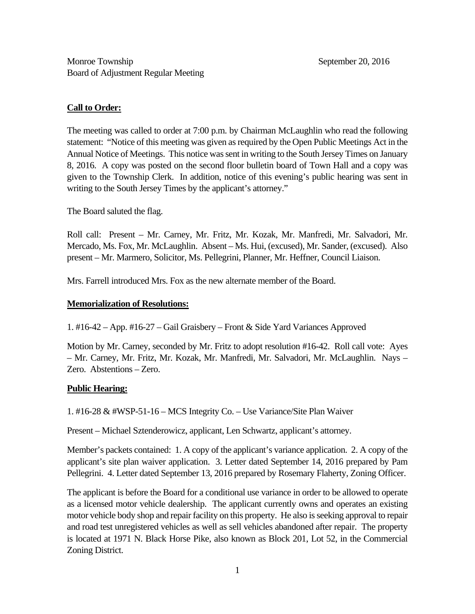# **Call to Order:**

The meeting was called to order at 7:00 p.m. by Chairman McLaughlin who read the following statement: "Notice of this meeting was given as required by the Open Public Meetings Act in the Annual Notice of Meetings. This notice was sent in writing to the South Jersey Times on January 8, 2016. A copy was posted on the second floor bulletin board of Town Hall and a copy was given to the Township Clerk. In addition, notice of this evening's public hearing was sent in writing to the South Jersey Times by the applicant's attorney."

The Board saluted the flag.

Roll call: Present – Mr. Carney, Mr. Fritz, Mr. Kozak, Mr. Manfredi, Mr. Salvadori, Mr. Mercado, Ms. Fox, Mr. McLaughlin. Absent – Ms. Hui, (excused), Mr. Sander, (excused). Also present – Mr. Marmero, Solicitor, Ms. Pellegrini, Planner, Mr. Heffner, Council Liaison.

Mrs. Farrell introduced Mrs. Fox as the new alternate member of the Board.

## **Memorialization of Resolutions:**

1. #16-42 – App. #16-27 – Gail Graisbery – Front & Side Yard Variances Approved

Motion by Mr. Carney, seconded by Mr. Fritz to adopt resolution #16-42. Roll call vote: Ayes – Mr. Carney, Mr. Fritz, Mr. Kozak, Mr. Manfredi, Mr. Salvadori, Mr. McLaughlin. Nays – Zero. Abstentions – Zero.

# **Public Hearing:**

1. #16-28 & #WSP-51-16 – MCS Integrity Co. – Use Variance/Site Plan Waiver

Present – Michael Sztenderowicz, applicant, Len Schwartz, applicant's attorney.

Member's packets contained: 1. A copy of the applicant's variance application. 2. A copy of the applicant's site plan waiver application. 3. Letter dated September 14, 2016 prepared by Pam Pellegrini. 4. Letter dated September 13, 2016 prepared by Rosemary Flaherty, Zoning Officer.

The applicant is before the Board for a conditional use variance in order to be allowed to operate as a licensed motor vehicle dealership. The applicant currently owns and operates an existing motor vehicle body shop and repair facility on this property. He also is seeking approval to repair and road test unregistered vehicles as well as sell vehicles abandoned after repair. The property is located at 1971 N. Black Horse Pike, also known as Block 201, Lot 52, in the Commercial Zoning District.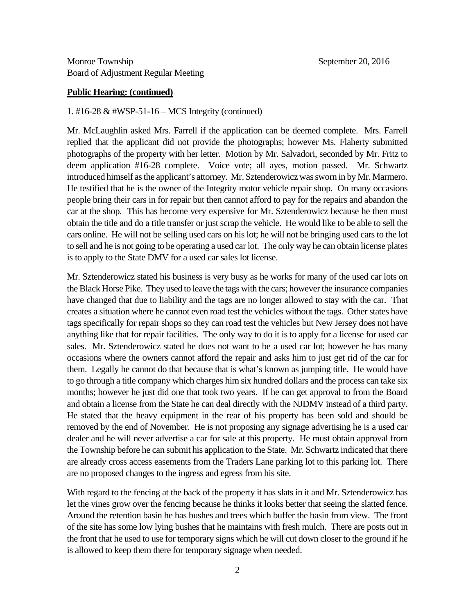#### **Public Hearing: (continued)**

#### 1. #16-28 & #WSP-51-16 – MCS Integrity (continued)

Mr. McLaughlin asked Mrs. Farrell if the application can be deemed complete. Mrs. Farrell replied that the applicant did not provide the photographs; however Ms. Flaherty submitted photographs of the property with her letter. Motion by Mr. Salvadori, seconded by Mr. Fritz to deem application #16-28 complete. Voice vote; all ayes, motion passed. Mr. Schwartz introduced himself as the applicant's attorney. Mr. Sztenderowicz was sworn in by Mr. Marmero. He testified that he is the owner of the Integrity motor vehicle repair shop. On many occasions people bring their cars in for repair but then cannot afford to pay for the repairs and abandon the car at the shop. This has become very expensive for Mr. Sztenderowicz because he then must obtain the title and do a title transfer or just scrap the vehicle. He would like to be able to sell the cars online. He will not be selling used cars on his lot; he will not be bringing used cars to the lot to sell and he is not going to be operating a used car lot. The only way he can obtain license plates is to apply to the State DMV for a used car sales lot license.

Mr. Sztenderowicz stated his business is very busy as he works for many of the used car lots on the Black Horse Pike. They used to leave the tags with the cars; however the insurance companies have changed that due to liability and the tags are no longer allowed to stay with the car. That creates a situation where he cannot even road test the vehicles without the tags. Other states have tags specifically for repair shops so they can road test the vehicles but New Jersey does not have anything like that for repair facilities. The only way to do it is to apply for a license for used car sales. Mr. Sztenderowicz stated he does not want to be a used car lot; however he has many occasions where the owners cannot afford the repair and asks him to just get rid of the car for them. Legally he cannot do that because that is what's known as jumping title. He would have to go through a title company which charges him six hundred dollars and the process can take six months; however he just did one that took two years. If he can get approval to from the Board and obtain a license from the State he can deal directly with the NJDMV instead of a third party. He stated that the heavy equipment in the rear of his property has been sold and should be removed by the end of November. He is not proposing any signage advertising he is a used car dealer and he will never advertise a car for sale at this property. He must obtain approval from the Township before he can submit his application to the State. Mr. Schwartz indicated that there are already cross access easements from the Traders Lane parking lot to this parking lot. There are no proposed changes to the ingress and egress from his site.

With regard to the fencing at the back of the property it has slats in it and Mr. Sztenderowicz has let the vines grow over the fencing because he thinks it looks better that seeing the slatted fence. Around the retention basin he has bushes and trees which buffer the basin from view. The front of the site has some low lying bushes that he maintains with fresh mulch. There are posts out in the front that he used to use for temporary signs which he will cut down closer to the ground if he is allowed to keep them there for temporary signage when needed.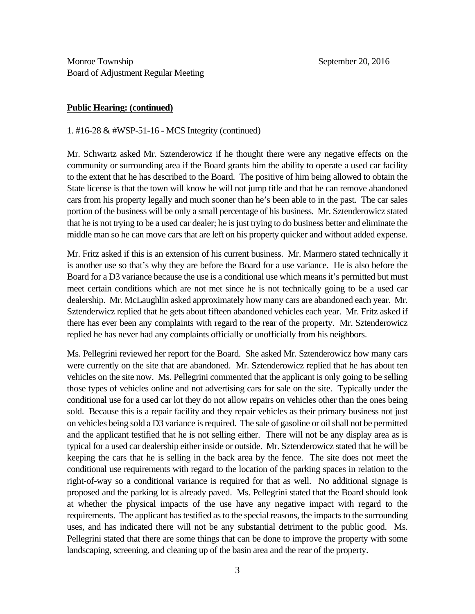#### **Public Hearing: (continued)**

1. #16-28 & #WSP-51-16 - MCS Integrity (continued)

Mr. Schwartz asked Mr. Sztenderowicz if he thought there were any negative effects on the community or surrounding area if the Board grants him the ability to operate a used car facility to the extent that he has described to the Board. The positive of him being allowed to obtain the State license is that the town will know he will not jump title and that he can remove abandoned cars from his property legally and much sooner than he's been able to in the past. The car sales portion of the business will be only a small percentage of his business. Mr. Sztenderowicz stated that he is not trying to be a used car dealer; he is just trying to do business better and eliminate the middle man so he can move cars that are left on his property quicker and without added expense.

Mr. Fritz asked if this is an extension of his current business. Mr. Marmero stated technically it is another use so that's why they are before the Board for a use variance. He is also before the Board for a D3 variance because the use is a conditional use which means it's permitted but must meet certain conditions which are not met since he is not technically going to be a used car dealership. Mr. McLaughlin asked approximately how many cars are abandoned each year. Mr. Sztenderwicz replied that he gets about fifteen abandoned vehicles each year. Mr. Fritz asked if there has ever been any complaints with regard to the rear of the property. Mr. Sztenderowicz replied he has never had any complaints officially or unofficially from his neighbors.

Ms. Pellegrini reviewed her report for the Board. She asked Mr. Sztenderowicz how many cars were currently on the site that are abandoned. Mr. Sztenderowicz replied that he has about ten vehicles on the site now. Ms. Pellegrini commented that the applicant is only going to be selling those types of vehicles online and not advertising cars for sale on the site. Typically under the conditional use for a used car lot they do not allow repairs on vehicles other than the ones being sold. Because this is a repair facility and they repair vehicles as their primary business not just on vehicles being sold a D3 variance is required. The sale of gasoline or oil shall not be permitted and the applicant testified that he is not selling either. There will not be any display area as is typical for a used car dealership either inside or outside. Mr. Sztenderowicz stated that he will be keeping the cars that he is selling in the back area by the fence. The site does not meet the conditional use requirements with regard to the location of the parking spaces in relation to the right-of-way so a conditional variance is required for that as well. No additional signage is proposed and the parking lot is already paved. Ms. Pellegrini stated that the Board should look at whether the physical impacts of the use have any negative impact with regard to the requirements. The applicant has testified as to the special reasons, the impacts to the surrounding uses, and has indicated there will not be any substantial detriment to the public good. Ms. Pellegrini stated that there are some things that can be done to improve the property with some landscaping, screening, and cleaning up of the basin area and the rear of the property.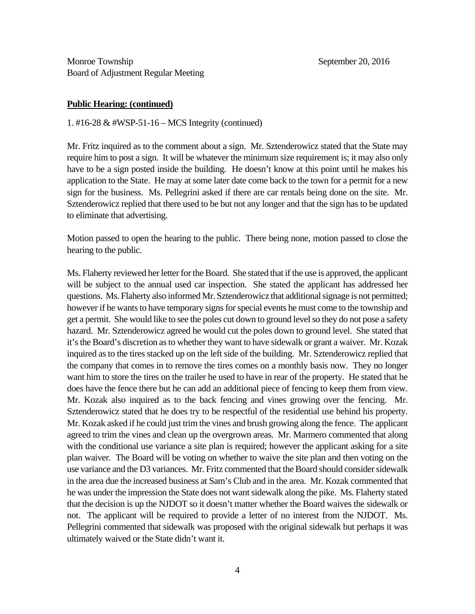#### **Public Hearing: (continued)**

1. #16-28 & #WSP-51-16 – MCS Integrity (continued)

Mr. Fritz inquired as to the comment about a sign. Mr. Sztenderowicz stated that the State may require him to post a sign. It will be whatever the minimum size requirement is; it may also only have to be a sign posted inside the building. He doesn't know at this point until he makes his application to the State. He may at some later date come back to the town for a permit for a new sign for the business. Ms. Pellegrini asked if there are car rentals being done on the site. Mr. Sztenderowicz replied that there used to be but not any longer and that the sign has to be updated to eliminate that advertising.

Motion passed to open the hearing to the public. There being none, motion passed to close the hearing to the public.

Ms. Flaherty reviewed her letter for the Board. She stated that if the use is approved, the applicant will be subject to the annual used car inspection. She stated the applicant has addressed her questions. Ms. Flaherty also informed Mr. Sztenderowicz that additional signage is not permitted; however if he wants to have temporary signs for special events he must come to the township and get a permit. She would like to see the poles cut down to ground level so they do not pose a safety hazard. Mr. Sztenderowicz agreed he would cut the poles down to ground level. She stated that it's the Board's discretion as to whether they want to have sidewalk or grant a waiver. Mr. Kozak inquired as to the tires stacked up on the left side of the building. Mr. Sztenderowicz replied that the company that comes in to remove the tires comes on a monthly basis now. They no longer want him to store the tires on the trailer he used to have in rear of the property. He stated that he does have the fence there but he can add an additional piece of fencing to keep them from view. Mr. Kozak also inquired as to the back fencing and vines growing over the fencing. Mr. Sztenderowicz stated that he does try to be respectful of the residential use behind his property. Mr. Kozak asked if he could just trim the vines and brush growing along the fence. The applicant agreed to trim the vines and clean up the overgrown areas. Mr. Marmero commented that along with the conditional use variance a site plan is required; however the applicant asking for a site plan waiver. The Board will be voting on whether to waive the site plan and then voting on the use variance and the D3 variances. Mr. Fritz commented that the Board should consider sidewalk in the area due the increased business at Sam's Club and in the area. Mr. Kozak commented that he was under the impression the State does not want sidewalk along the pike. Ms. Flaherty stated that the decision is up the NJDOT so it doesn't matter whether the Board waives the sidewalk or not. The applicant will be required to provide a letter of no interest from the NJDOT. Ms. Pellegrini commented that sidewalk was proposed with the original sidewalk but perhaps it was ultimately waived or the State didn't want it.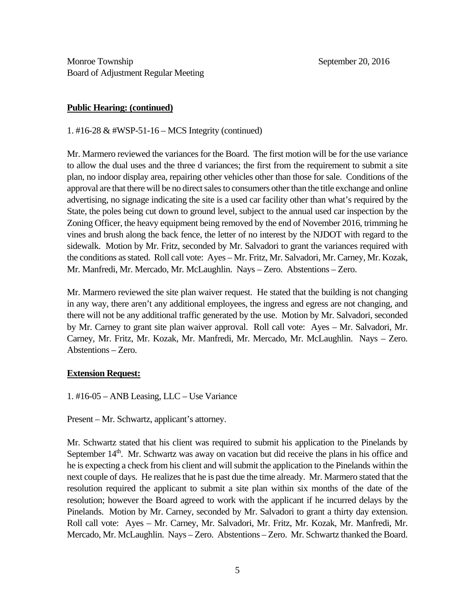## **Public Hearing: (continued)**

1. #16-28 & #WSP-51-16 – MCS Integrity (continued)

Mr. Marmero reviewed the variances for the Board. The first motion will be for the use variance to allow the dual uses and the three d variances; the first from the requirement to submit a site plan, no indoor display area, repairing other vehicles other than those for sale. Conditions of the approval are that there will be no direct sales to consumers other than the title exchange and online advertising, no signage indicating the site is a used car facility other than what's required by the State, the poles being cut down to ground level, subject to the annual used car inspection by the Zoning Officer, the heavy equipment being removed by the end of November 2016, trimming he vines and brush along the back fence, the letter of no interest by the NJDOT with regard to the sidewalk. Motion by Mr. Fritz, seconded by Mr. Salvadori to grant the variances required with the conditions as stated. Roll call vote: Ayes – Mr. Fritz, Mr. Salvadori, Mr. Carney, Mr. Kozak, Mr. Manfredi, Mr. Mercado, Mr. McLaughlin. Nays – Zero. Abstentions – Zero.

Mr. Marmero reviewed the site plan waiver request. He stated that the building is not changing in any way, there aren't any additional employees, the ingress and egress are not changing, and there will not be any additional traffic generated by the use. Motion by Mr. Salvadori, seconded by Mr. Carney to grant site plan waiver approval. Roll call vote: Ayes – Mr. Salvadori, Mr. Carney, Mr. Fritz, Mr. Kozak, Mr. Manfredi, Mr. Mercado, Mr. McLaughlin. Nays – Zero. Abstentions – Zero.

### **Extension Request:**

1. #16-05 – ANB Leasing, LLC – Use Variance

Present – Mr. Schwartz, applicant's attorney.

Mr. Schwartz stated that his client was required to submit his application to the Pinelands by September  $14<sup>th</sup>$ . Mr. Schwartz was away on vacation but did receive the plans in his office and he is expecting a check from his client and will submit the application to the Pinelands within the next couple of days. He realizes that he is past due the time already. Mr. Marmero stated that the resolution required the applicant to submit a site plan within six months of the date of the resolution; however the Board agreed to work with the applicant if he incurred delays by the Pinelands. Motion by Mr. Carney, seconded by Mr. Salvadori to grant a thirty day extension. Roll call vote: Ayes – Mr. Carney, Mr. Salvadori, Mr. Fritz, Mr. Kozak, Mr. Manfredi, Mr. Mercado, Mr. McLaughlin. Nays – Zero. Abstentions – Zero. Mr. Schwartz thanked the Board.